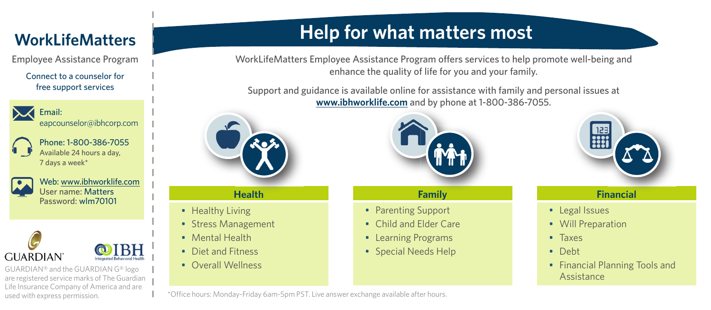## **WorkLifeMatters**

Employee Assistance Program

Connect to a counselor for free support services



Email: eapcounselor@ibhcorp.com

Phone: 1-800-386-7055 Available 24 hours a day, 7 days a week\*



Web: www.ibhworklife.com User name: Matters Password: wlm70101



GUARDIAN® and the GUARDIAN G® logo are registered service marks of The Guardian Life Insurance Company of America and are used with express permission.

# **Help for what matters most**

WorkLifeMatters Employee Assistance Program offers services to help promote well-being and enhance the quality of life for you and your family.

Support and guidance is available online for assistance with family and personal issues at **www.ibhworklife.com** and by phone at 1-800-386-7055.



**Health**

- Healthy Living
- Stress Management
- Mental Health
- Diet and Fitness
- Overall Wellness



### **Family**

- Parenting Support
- Child and Elder Care
- Learning Programs
- Special Needs Help



#### **Financial**

- Legal Issues
- Will Preparation
- Taxes
- Debt
- Financial Planning Tools and **Assistance**

\*Office hours: Monday-Friday 6am-5pm PST. Live answer exchange available after hours.